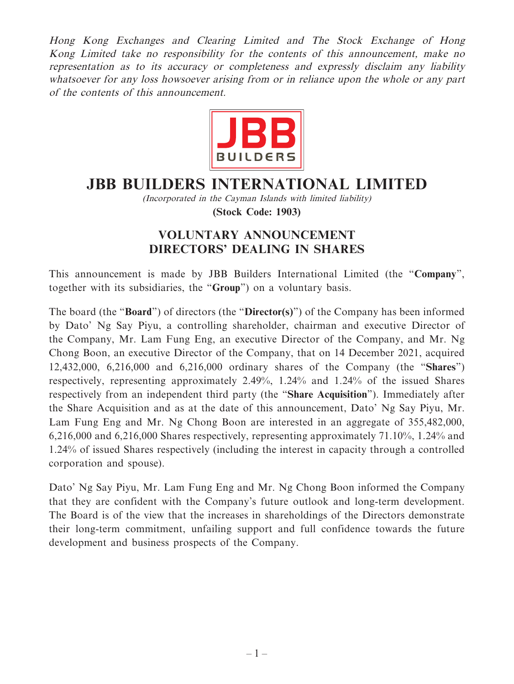Hong Kong Exchanges and Clearing Limited and The Stock Exchange of Hong Kong Limited take no responsibility for the contents of this announcement, make no representation as to its accuracy or completeness and expressly disclaim any liability whatsoever for any loss howsoever arising from or in reliance upon the whole or any part of the contents of this announcement.



## **JBB BUILDERS INTERNATIONAL LIMITED**

(Incorporated in the Cayman Islands with limited liability) **(Stock Code: 1903)**

## **VOLUNTARY ANNOUNCEMENT DIRECTORS' DEALING IN SHARES**

This announcement is made by JBB Builders International Limited (the "**Company**", together with its subsidiaries, the "**Group**") on a voluntary basis.

The board (the "**Board**") of directors (the "**Director(s)**") of the Company has been informed by Dato' Ng Say Piyu, a controlling shareholder, chairman and executive Director of the Company, Mr. Lam Fung Eng, an executive Director of the Company, and Mr. Ng Chong Boon, an executive Director of the Company, that on 14 December 2021, acquired 12,432,000, 6,216,000 and 6,216,000 ordinary shares of the Company (the "**Shares**") respectively, representing approximately 2.49%, 1.24% and 1.24% of the issued Shares respectively from an independent third party (the "**Share Acquisition**"). Immediately after the Share Acquisition and as at the date of this announcement, Dato' Ng Say Piyu, Mr. Lam Fung Eng and Mr. Ng Chong Boon are interested in an aggregate of 355,482,000, 6,216,000 and 6,216,000 Shares respectively, representing approximately 71.10%, 1.24% and 1.24% of issued Shares respectively (including the interest in capacity through a controlled corporation and spouse).

Dato' Ng Say Piyu, Mr. Lam Fung Eng and Mr. Ng Chong Boon informed the Company that they are confident with the Company's future outlook and long-term development. The Board is of the view that the increases in shareholdings of the Directors demonstrate their long-term commitment, unfailing support and full confidence towards the future development and business prospects of the Company.